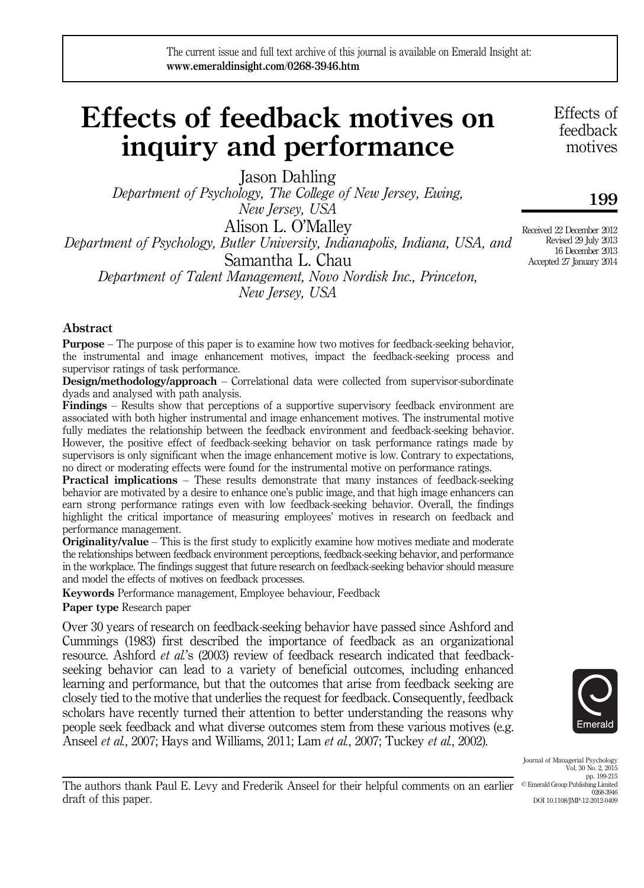# Effects of feedback motives on inquiry and performance

Jason Dahling

Department of Psychology, The College of New Jersey, Ewing, New Jersey, USA Alison L. O'Malley

Department of Psychology, Butler University, Indianapolis, Indiana, USA, and Samantha L. Chau

Department of Talent Management, Novo Nordisk Inc., Princeton, New Jersey, USA

Abstract

Purpose – The purpose of this paper is to examine how two motives for feedback-seeking behavior, the instrumental and image enhancement motives, impact the feedback-seeking process and supervisor ratings of task performance.

Design/methodology/approach – Correlational data were collected from supervisor-subordinate dyads and analysed with path analysis.

Findings – Results show that perceptions of a supportive supervisory feedback environment are associated with both higher instrumental and image enhancement motives. The instrumental motive fully mediates the relationship between the feedback environment and feedback-seeking behavior. However, the positive effect of feedback-seeking behavior on task performance ratings made by supervisors is only significant when the image enhancement motive is low. Contrary to expectations, no direct or moderating effects were found for the instrumental motive on performance ratings.

Practical implications – These results demonstrate that many instances of feedback-seeking behavior are motivated by a desire to enhance one's public image, and that high image enhancers can earn strong performance ratings even with low feedback-seeking behavior. Overall, the findings highlight the critical importance of measuring employees' motives in research on feedback and performance management.

Originality/value – This is the first study to explicitly examine how motives mediate and moderate the relationships between feedback environment perceptions, feedback-seeking behavior, and performance in the workplace. The findings suggest that future research on feedback-seeking behavior should measure and model the effects of motives on feedback processes.

Keywords Performance management, Employee behaviour, Feedback

Paper type Research paper

Over 30 years of research on feedback-seeking behavior have passed since Ashford and Cummings (1983) first described the importance of feedback as an organizational resource. Ashford *et al.*'s (2003) review of feedback research indicated that feedbackseeking behavior can lead to a variety of beneficial outcomes, including enhanced learning and performance, but that the outcomes that arise from feedback seeking are closely tied to the motive that underlies the request for feedback. Consequently, feedback scholars have recently turned their attention to better understanding the reasons why people seek feedback and what diverse outcomes stem from these various motives (e.g. Anseel et al., 2007; Hays and Williams, 2011; Lam et al., 2007; Tuckey et al., 2002).



Journal of Managerial Psychology Vol. 30 No. 2, 2015 pp. 199-215 0268-3946 DOI 10.1108/JMP-12-2012-0409

The authors thank Paul E. Levy and Frederik Anseel for their helpful comments on an earlier  $\mathbb{P}^{\text{Emeald Group Publishing} \times \text{N}}$ draft of this paper.

Effects of feedback motives

199

Received 22 December 2012 Revised 29 July 2013 16 December 2013 Accepted 27 January 2014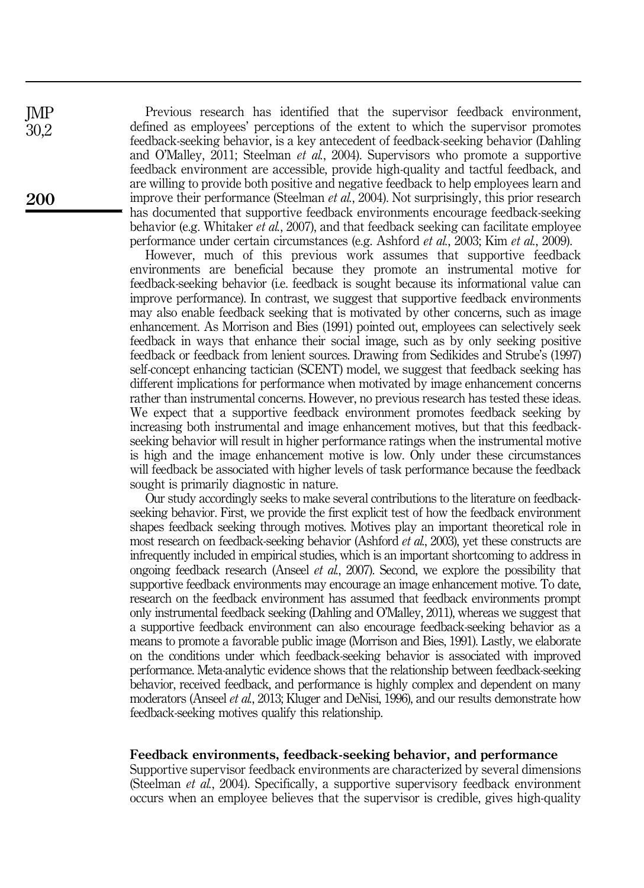Previous research has identified that the supervisor feedback environment, defined as employees' perceptions of the extent to which the supervisor promotes feedback-seeking behavior, is a key antecedent of feedback-seeking behavior (Dahling and O'Malley, 2011; Steelman et al., 2004). Supervisors who promote a supportive feedback environment are accessible, provide high-quality and tactful feedback, and are willing to provide both positive and negative feedback to help employees learn and improve their performance (Steelman *et al.*, 2004). Not surprisingly, this prior research has documented that supportive feedback environments encourage feedback-seeking behavior (e.g. Whitaker et al., 2007), and that feedback seeking can facilitate employee performance under certain circumstances (e.g. Ashford et al., 2003; Kim et al., 2009).

However, much of this previous work assumes that supportive feedback environments are beneficial because they promote an instrumental motive for feedback-seeking behavior (i.e. feedback is sought because its informational value can improve performance). In contrast, we suggest that supportive feedback environments may also enable feedback seeking that is motivated by other concerns, such as image enhancement. As Morrison and Bies (1991) pointed out, employees can selectively seek feedback in ways that enhance their social image, such as by only seeking positive feedback or feedback from lenient sources. Drawing from Sedikides and Strube's (1997) self-concept enhancing tactician (SCENT) model, we suggest that feedback seeking has different implications for performance when motivated by image enhancement concerns rather than instrumental concerns. However, no previous research has tested these ideas. We expect that a supportive feedback environment promotes feedback seeking by increasing both instrumental and image enhancement motives, but that this feedbackseeking behavior will result in higher performance ratings when the instrumental motive is high and the image enhancement motive is low. Only under these circumstances will feedback be associated with higher levels of task performance because the feedback sought is primarily diagnostic in nature.

Our study accordingly seeks to make several contributions to the literature on feedbackseeking behavior. First, we provide the first explicit test of how the feedback environment shapes feedback seeking through motives. Motives play an important theoretical role in most research on feedback-seeking behavior (Ashford et al., 2003), yet these constructs are infrequently included in empirical studies, which is an important shortcoming to address in ongoing feedback research (Anseel *et al.*, 2007). Second, we explore the possibility that supportive feedback environments may encourage an image enhancement motive. To date, research on the feedback environment has assumed that feedback environments prompt only instrumental feedback seeking (Dahling and O'Malley, 2011), whereas we suggest that a supportive feedback environment can also encourage feedback-seeking behavior as a means to promote a favorable public image (Morrison and Bies, 1991). Lastly, we elaborate on the conditions under which feedback-seeking behavior is associated with improved performance. Meta-analytic evidence shows that the relationship between feedback-seeking behavior, received feedback, and performance is highly complex and dependent on many moderators (Anseel et al., 2013; Kluger and DeNisi, 1996), and our results demonstrate how feedback-seeking motives qualify this relationship.

#### Feedback environments, feedback-seeking behavior, and performance

Supportive supervisor feedback environments are characterized by several dimensions (Steelman et al., 2004). Specifically, a supportive supervisory feedback environment occurs when an employee believes that the supervisor is credible, gives high-quality

30,2

JMP

200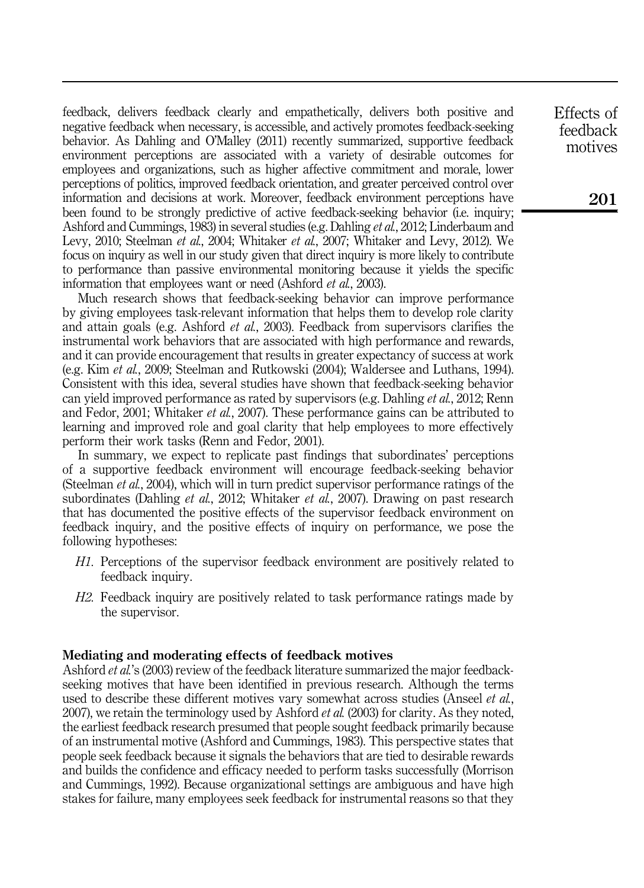feedback, delivers feedback clearly and empathetically, delivers both positive and negative feedback when necessary, is accessible, and actively promotes feedback-seeking behavior. As Dahling and O'Malley (2011) recently summarized, supportive feedback environment perceptions are associated with a variety of desirable outcomes for employees and organizations, such as higher affective commitment and morale, lower perceptions of politics, improved feedback orientation, and greater perceived control over information and decisions at work. Moreover, feedback environment perceptions have been found to be strongly predictive of active feedback-seeking behavior (i.e. inquiry; Ashford and Cummings, 1983) in several studies (e.g. Dahling et al., 2012; Linderbaum and Levy, 2010; Steelman et al., 2004; Whitaker et al., 2007; Whitaker and Levy, 2012). We focus on inquiry as well in our study given that direct inquiry is more likely to contribute to performance than passive environmental monitoring because it yields the specific information that employees want or need (Ashford *et al.*, 2003).

Much research shows that feedback-seeking behavior can improve performance by giving employees task-relevant information that helps them to develop role clarity and attain goals (e.g. Ashford et al., 2003). Feedback from supervisors clarifies the instrumental work behaviors that are associated with high performance and rewards, and it can provide encouragement that results in greater expectancy of success at work (e.g. Kim et al., 2009; Steelman and Rutkowski (2004); Waldersee and Luthans, 1994). Consistent with this idea, several studies have shown that feedback-seeking behavior can yield improved performance as rated by supervisors (e.g. Dahling et al., 2012; Renn and Fedor, 2001; Whitaker et al., 2007). These performance gains can be attributed to learning and improved role and goal clarity that help employees to more effectively perform their work tasks (Renn and Fedor, 2001).

In summary, we expect to replicate past findings that subordinates' perceptions of a supportive feedback environment will encourage feedback-seeking behavior (Steelman *et al.*, 2004), which will in turn predict supervisor performance ratings of the subordinates (Dahling et al., 2012; Whitaker et al., 2007). Drawing on past research that has documented the positive effects of the supervisor feedback environment on feedback inquiry, and the positive effects of inquiry on performance, we pose the following hypotheses:

- H1. Perceptions of the supervisor feedback environment are positively related to feedback inquiry.
- H2. Feedback inquiry are positively related to task performance ratings made by the supervisor.

# Mediating and moderating effects of feedback motives

Ashford *et al.*'s (2003) review of the feedback literature summarized the major feedbackseeking motives that have been identified in previous research. Although the terms used to describe these different motives vary somewhat across studies (Anseel *et al.*, 2007), we retain the terminology used by Ashford *et al.* (2003) for clarity. As they noted, the earliest feedback research presumed that people sought feedback primarily because of an instrumental motive (Ashford and Cummings, 1983). This perspective states that people seek feedback because it signals the behaviors that are tied to desirable rewards and builds the confidence and efficacy needed to perform tasks successfully (Morrison and Cummings, 1992). Because organizational settings are ambiguous and have high stakes for failure, many employees seek feedback for instrumental reasons so that they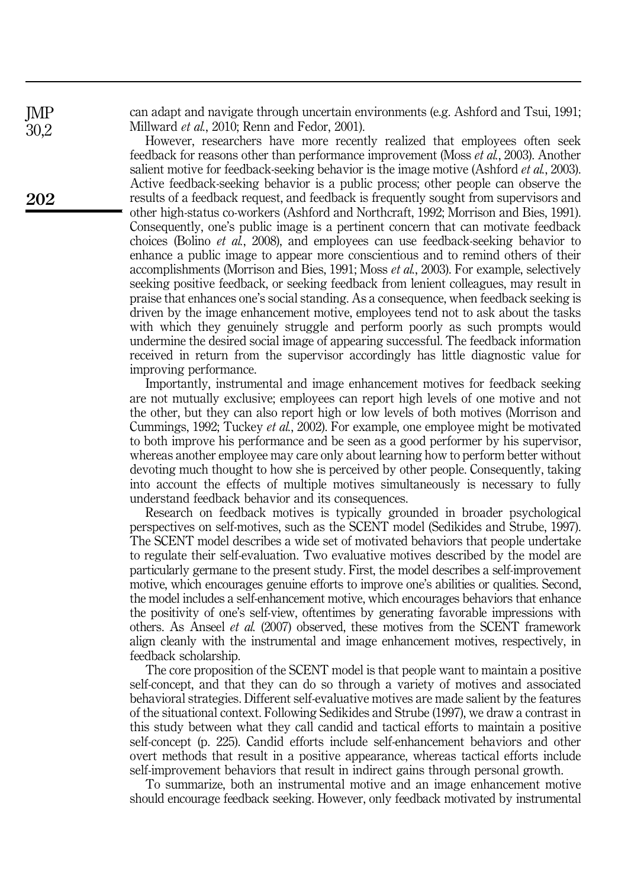can adapt and navigate through uncertain environments (e.g. Ashford and Tsui, 1991; Millward et al., 2010; Renn and Fedor, 2001).

However, researchers have more recently realized that employees often seek feedback for reasons other than performance improvement (Moss et al., 2003). Another salient motive for feedback-seeking behavior is the image motive (Ashford *et al.*, 2003). Active feedback-seeking behavior is a public process; other people can observe the results of a feedback request, and feedback is frequently sought from supervisors and other high-status co-workers (Ashford and Northcraft, 1992; Morrison and Bies, 1991). Consequently, one's public image is a pertinent concern that can motivate feedback choices (Bolino et al., 2008), and employees can use feedback-seeking behavior to enhance a public image to appear more conscientious and to remind others of their accomplishments (Morrison and Bies, 1991; Moss et al., 2003). For example, selectively seeking positive feedback, or seeking feedback from lenient colleagues, may result in praise that enhances one's social standing. As a consequence, when feedback seeking is driven by the image enhancement motive, employees tend not to ask about the tasks with which they genuinely struggle and perform poorly as such prompts would undermine the desired social image of appearing successful. The feedback information received in return from the supervisor accordingly has little diagnostic value for improving performance.

Importantly, instrumental and image enhancement motives for feedback seeking are not mutually exclusive; employees can report high levels of one motive and not the other, but they can also report high or low levels of both motives (Morrison and Cummings, 1992; Tuckey et al., 2002). For example, one employee might be motivated to both improve his performance and be seen as a good performer by his supervisor, whereas another employee may care only about learning how to perform better without devoting much thought to how she is perceived by other people. Consequently, taking into account the effects of multiple motives simultaneously is necessary to fully understand feedback behavior and its consequences.

Research on feedback motives is typically grounded in broader psychological perspectives on self-motives, such as the SCENT model (Sedikides and Strube, 1997). The SCENT model describes a wide set of motivated behaviors that people undertake to regulate their self-evaluation. Two evaluative motives described by the model are particularly germane to the present study. First, the model describes a self-improvement motive, which encourages genuine efforts to improve one's abilities or qualities. Second, the model includes a self-enhancement motive, which encourages behaviors that enhance the positivity of one's self-view, oftentimes by generating favorable impressions with others. As Anseel et al. (2007) observed, these motives from the SCENT framework align cleanly with the instrumental and image enhancement motives, respectively, in feedback scholarship.

The core proposition of the SCENT model is that people want to maintain a positive self-concept, and that they can do so through a variety of motives and associated behavioral strategies. Different self-evaluative motives are made salient by the features of the situational context. Following Sedikides and Strube (1997), we draw a contrast in this study between what they call candid and tactical efforts to maintain a positive self-concept (p. 225). Candid efforts include self-enhancement behaviors and other overt methods that result in a positive appearance, whereas tactical efforts include self-improvement behaviors that result in indirect gains through personal growth.

To summarize, both an instrumental motive and an image enhancement motive should encourage feedback seeking. However, only feedback motivated by instrumental

JMP 30,2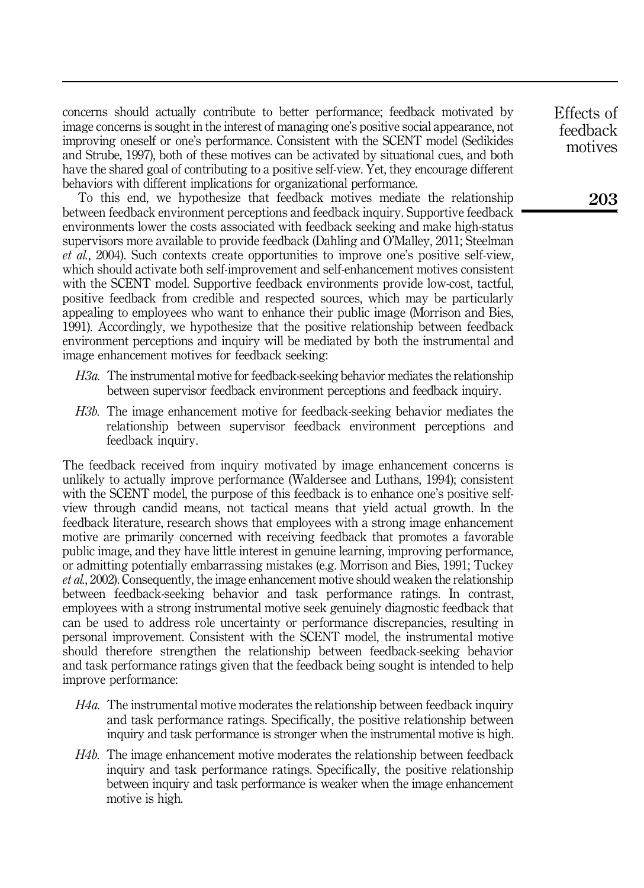concerns should actually contribute to better performance; feedback motivated by image concerns is sought in the interest of managing one's positive social appearance, not improving oneself or one's performance. Consistent with the SCENT model (Sedikides and Strube, 1997), both of these motives can be activated by situational cues, and both have the shared goal of contributing to a positive self-view. Yet, they encourage different behaviors with different implications for organizational performance.

To this end, we hypothesize that feedback motives mediate the relationship between feedback environment perceptions and feedback inquiry. Supportive feedback environments lower the costs associated with feedback seeking and make high-status supervisors more available to provide feedback (Dahling and O'Malley, 2011; Steelman et al., 2004). Such contexts create opportunities to improve one's positive self-view. which should activate both self-improvement and self-enhancement motives consistent with the SCENT model. Supportive feedback environments provide low-cost, tactful, positive feedback from credible and respected sources, which may be particularly appealing to employees who want to enhance their public image (Morrison and Bies, 1991). Accordingly, we hypothesize that the positive relationship between feedback environment perceptions and inquiry will be mediated by both the instrumental and image enhancement motives for feedback seeking:

- H3a. The instrumental motive for feedback-seeking behavior mediates the relationship between supervisor feedback environment perceptions and feedback inquiry.
- H<sub>3b</sub>. The image enhancement motive for feedback-seeking behavior mediates the relationship between supervisor feedback environment perceptions and feedback inquiry.

The feedback received from inquiry motivated by image enhancement concerns is unlikely to actually improve performance (Waldersee and Luthans, 1994); consistent with the SCENT model, the purpose of this feedback is to enhance one's positive selfview through candid means, not tactical means that yield actual growth. In the feedback literature, research shows that employees with a strong image enhancement motive are primarily concerned with receiving feedback that promotes a favorable public image, and they have little interest in genuine learning, improving performance, or admitting potentially embarrassing mistakes (e.g. Morrison and Bies, 1991; Tuckey et al., 2002). Consequently, the image enhancement motive should weaken the relationship between feedback-seeking behavior and task performance ratings. In contrast, employees with a strong instrumental motive seek genuinely diagnostic feedback that can be used to address role uncertainty or performance discrepancies, resulting in personal improvement. Consistent with the SCENT model, the instrumental motive should therefore strengthen the relationship between feedback-seeking behavior and task performance ratings given that the feedback being sought is intended to help improve performance:

- H4a. The instrumental motive moderates the relationship between feedback inquiry and task performance ratings. Specifically, the positive relationship between inquiry and task performance is stronger when the instrumental motive is high.
- H4b. The image enhancement motive moderates the relationship between feedback inquiry and task performance ratings. Specifically, the positive relationship between inquiry and task performance is weaker when the image enhancement motive is high.

Effects of feedback motives

203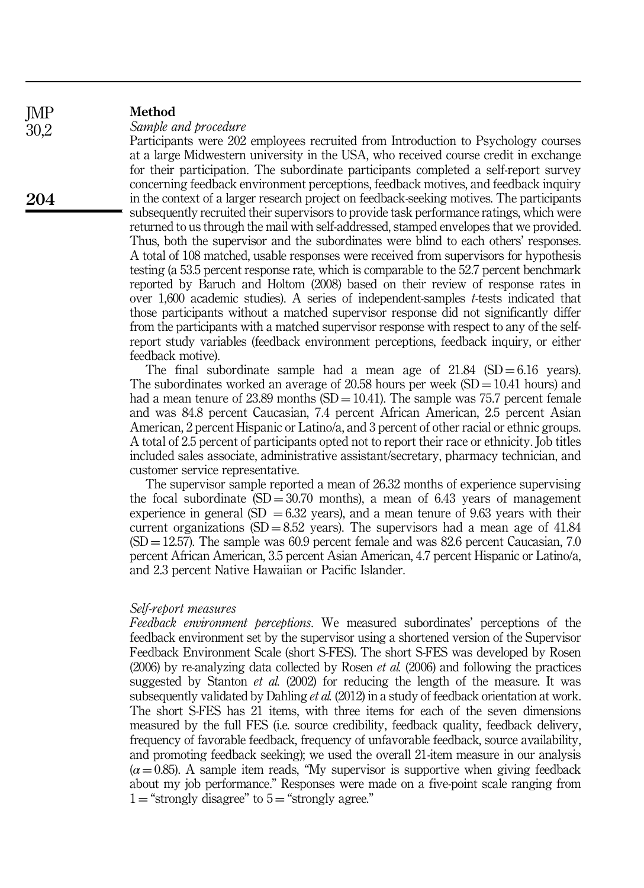#### Method JMP

204

Sample and procedure 30,2

Participants were 202 employees recruited from Introduction to Psychology courses at a large Midwestern university in the USA, who received course credit in exchange for their participation. The subordinate participants completed a self-report survey concerning feedback environment perceptions, feedback motives, and feedback inquiry in the context of a larger research project on feedback-seeking motives. The participants subsequently recruited their supervisors to provide task performance ratings, which were returned to us through the mail with self-addressed, stamped envelopes that we provided. Thus, both the supervisor and the subordinates were blind to each others' responses. A total of 108 matched, usable responses were received from supervisors for hypothesis testing (a 53.5 percent response rate, which is comparable to the 52.7 percent benchmark reported by Baruch and Holtom (2008) based on their review of response rates in over 1,600 academic studies). A series of independent-samples t-tests indicated that those participants without a matched supervisor response did not significantly differ from the participants with a matched supervisor response with respect to any of the selfreport study variables (feedback environment perceptions, feedback inquiry, or either feedback motive).

The final subordinate sample had a mean age of  $21.84$  (SD  $= 6.16$  years). The subordinates worked an average of 20.58 hours per week  $(SD = 10.41$  hours) and had a mean tenure of 23.89 months  $(SD = 10.41)$ . The sample was 75.7 percent female and was 84.8 percent Caucasian, 7.4 percent African American, 2.5 percent Asian American, 2 percent Hispanic or Latino/a, and 3 percent of other racial or ethnic groups. A total of 2.5 percent of participants opted not to report their race or ethnicity. Job titles included sales associate, administrative assistant/secretary, pharmacy technician, and customer service representative.

The supervisor sample reported a mean of 26.32 months of experience supervising the focal subordinate  $(SD = 30.70$  months), a mean of 6.43 years of management experience in general (SD  $= 6.32$  years), and a mean tenure of 9.63 years with their current organizations (SD = 8.52 years). The supervisors had a mean age of  $41.84$  $(SD = 12.57)$ . The sample was 60.9 percent female and was 82.6 percent Caucasian, 7.0 percent African American, 3.5 percent Asian American, 4.7 percent Hispanic or Latino/a, and 2.3 percent Native Hawaiian or Pacific Islander.

#### Self-report measures

Feedback environment perceptions. We measured subordinates' perceptions of the feedback environment set by the supervisor using a shortened version of the Supervisor Feedback Environment Scale (short S-FES). The short S-FES was developed by Rosen (2006) by re-analyzing data collected by Rosen et al. (2006) and following the practices suggested by Stanton *et al.* (2002) for reducing the length of the measure. It was subsequently validated by Dahling et al. (2012) in a study of feedback orientation at work. The short S-FES has 21 items, with three items for each of the seven dimensions measured by the full FES (i.e. source credibility, feedback quality, feedback delivery, frequency of favorable feedback, frequency of unfavorable feedback, source availability, and promoting feedback seeking); we used the overall 21-item measure in our analysis  $(\alpha = 0.85)$ . A sample item reads, "My supervisor is supportive when giving feedback about my job performance." Responses were made on a five-point scale ranging from  $1 =$  "strongly disagree" to  $5 =$  "strongly agree."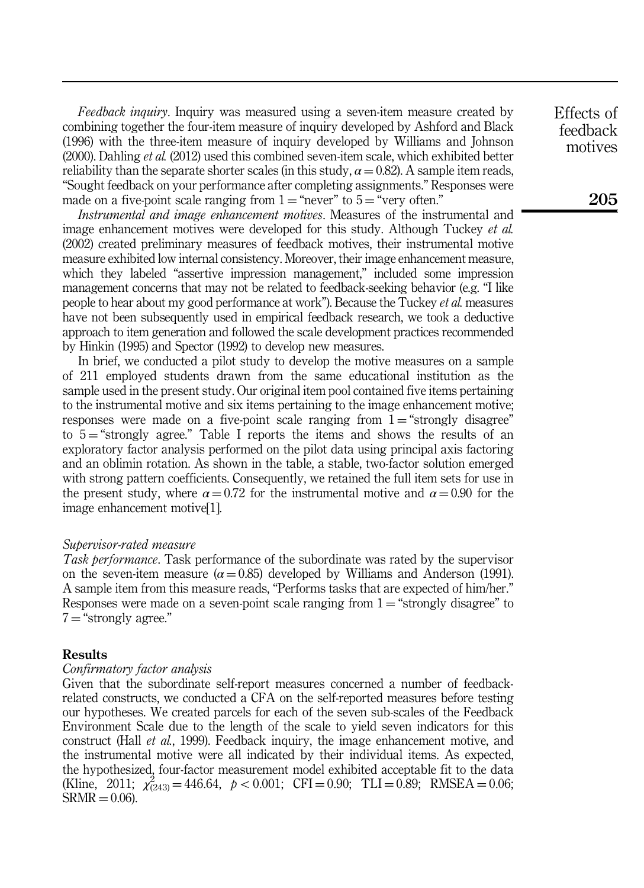Feedback inquiry. Inquiry was measured using a seven-item measure created by combining together the four-item measure of inquiry developed by Ashford and Black (1996) with the three-item measure of inquiry developed by Williams and Johnson (2000). Dahling et al. (2012) used this combined seven-item scale, which exhibited better reliability than the separate shorter scales (in this study,  $\alpha = 0.82$ ). A sample item reads, "Sought feedback on your performance after completing assignments." Responses were made on a five-point scale ranging from  $1 =$  "never" to  $5 =$  "very often."

Instrumental and image enhancement motives. Measures of the instrumental and image enhancement motives were developed for this study. Although Tuckey et al. (2002) created preliminary measures of feedback motives, their instrumental motive measure exhibited low internal consistency. Moreover, their image enhancement measure, which they labeled "assertive impression management," included some impression management concerns that may not be related to feedback-seeking behavior (e.g. "I like people to hear about my good performance at work"). Because the Tuckey et al. measures have not been subsequently used in empirical feedback research, we took a deductive approach to item generation and followed the scale development practices recommended by Hinkin (1995) and Spector (1992) to develop new measures.

In brief, we conducted a pilot study to develop the motive measures on a sample of 211 employed students drawn from the same educational institution as the sample used in the present study. Our original item pool contained five items pertaining to the instrumental motive and six items pertaining to the image enhancement motive; responses were made on a five-point scale ranging from  $1 =$  "strongly disagree" to  $5 =$  "strongly agree." Table I reports the items and shows the results of an exploratory factor analysis performed on the pilot data using principal axis factoring and an oblimin rotation. As shown in the table, a stable, two-factor solution emerged with strong pattern coefficients. Consequently, we retained the full item sets for use in the present study, where  $\alpha = 0.72$  for the instrumental motive and  $\alpha = 0.90$  for the image enhancement motive[1].

#### Supervisor-rated measure

Task performance. Task performance of the subordinate was rated by the supervisor on the seven-item measure ( $\alpha = 0.85$ ) developed by Williams and Anderson (1991). A sample item from this measure reads, "Performs tasks that are expected of him/her." Responses were made on a seven-point scale ranging from  $1 =$  "strongly disagree" to  $7 =$ "strongly agree."

#### Results

## Confirmatory factor analysis

Given that the subordinate self-report measures concerned a number of feedbackrelated constructs, we conducted a CFA on the self-reported measures before testing our hypotheses. We created parcels for each of the seven sub-scales of the Feedback Environment Scale due to the length of the scale to yield seven indicators for this construct (Hall et al., 1999). Feedback inquiry, the image enhancement motive, and the instrumental motive were all indicated by their individual items. As expected, the hypothesized, four-factor measurement model exhibited acceptable fit to the data (Kline, 2011;  $\chi^2_{(243)} = 446.64$ ,  $p < 0.001$ ; CFI = 0.90; TLI = 0.89; RMSEA = 0.06;  $SRMR = 0.06$ ).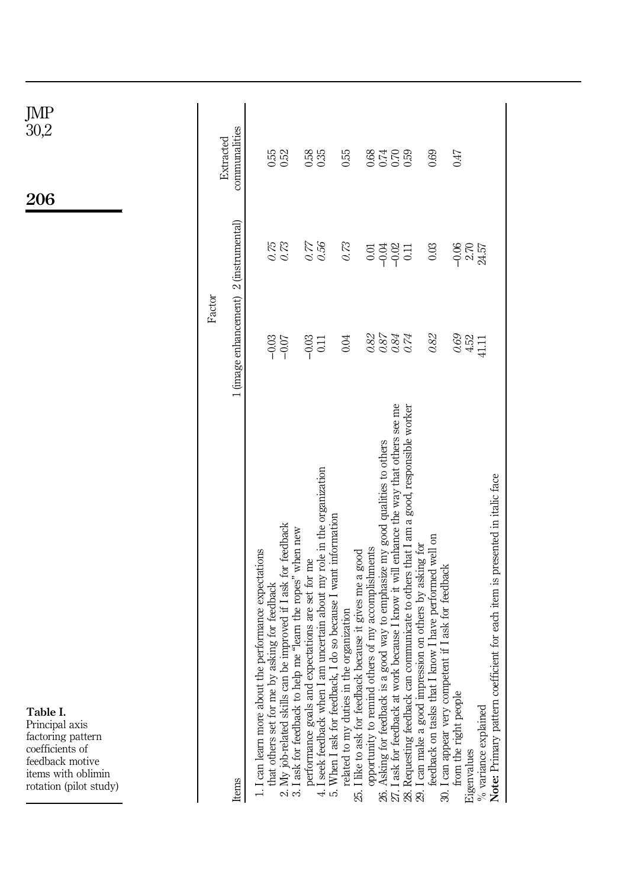| Table I.<br>Principal axis<br>factoring pattern<br>coefficients of<br>feedback motive<br>items with oblimin<br>rotation (pilot study)                                                                                         |                                                      |                                              | JMP<br>30,2<br>206         |
|-------------------------------------------------------------------------------------------------------------------------------------------------------------------------------------------------------------------------------|------------------------------------------------------|----------------------------------------------|----------------------------|
|                                                                                                                                                                                                                               | Factor                                               |                                              |                            |
| Items                                                                                                                                                                                                                         | 1 (image enhancement)                                | 2 (instrumental)                             | communalities<br>Extracted |
| ne performance expectations<br>asking for feedback<br>that others set for me by<br>I can learn more about tI                                                                                                                  |                                                      |                                              |                            |
| be improved if I ask for feedback                                                                                                                                                                                             | $-0.03$                                              | $\frac{0.75}{0.73}$                          | 0.52<br>0.52               |
| p me "learn the ropes" when new<br>performance goals and expectations are set for me<br>2. My job-related skills can<br>3. I ask for feedback to help                                                                         |                                                      |                                              |                            |
| 4. I seek feedback when I am uncertain about my role in the organization                                                                                                                                                      | $-0.03$                                              | 0.77<br>0.56                                 | $0.58$<br>0.35             |
| 5. When I ask for feedback, I do so because I want information<br>ne organization<br>related to my duties in th                                                                                                               | 0.04                                                 | 0.73                                         | 0.55                       |
| I like to ask for feedback because it gives me a good<br>g.                                                                                                                                                                   |                                                      |                                              |                            |
| hers of my accomplishments<br>opportunity to remind ot                                                                                                                                                                        |                                                      |                                              |                            |
|                                                                                                                                                                                                                               |                                                      |                                              |                            |
| 26. Asking for feedback is a good way to emphasize my good qualities to others $27.1$ ask for feedback at work because I know it will enhance the way that others see me 28. Requesting feedback can communicate to others th | 287<br>287<br>287<br>287                             |                                              | 887<br>0.70<br>0.00        |
|                                                                                                                                                                                                                               |                                                      |                                              |                            |
| know I have performed well on<br>feedback on tasks that I                                                                                                                                                                     | 0.82                                                 | 0.03                                         | 0.69                       |
| tent if I ask for feedback<br>30. I can appear very compe                                                                                                                                                                     |                                                      |                                              |                            |
| from the right people                                                                                                                                                                                                         |                                                      | $-0.06$                                      | <b>CFO</b>                 |
| % variance explained<br>Eigenvalues                                                                                                                                                                                           | $\begin{array}{c} 0.69 \\ 4.52 \\ 41.11 \end{array}$ | $\begin{array}{c} 2.70 \\ 24.57 \end{array}$ |                            |
| icient for each item is presented in italic face<br>Note: Primary pattern coeff                                                                                                                                               |                                                      |                                              |                            |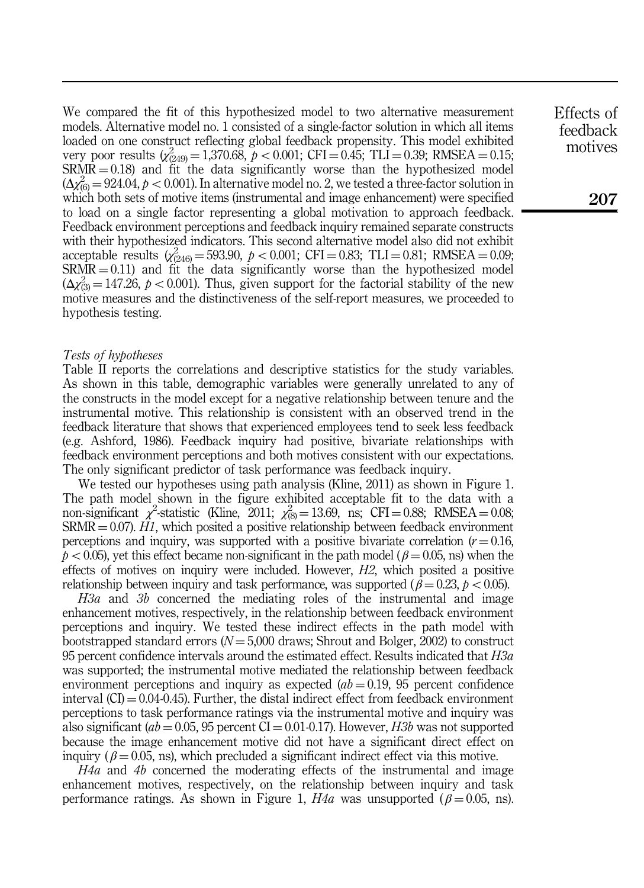We compared the fit of this hypothesized model to two alternative measurement models. Alternative model no. 1 consisted of a single-factor solution in which all items loaded on one construct reflecting global feedback propensity. This model exhibited very poor results  $(x_{(249)}^2 = 1,370.68, p < 0.001$ ; CFI = 0.45; TLI = 0.39; RMSEA = 0.15;  $SRMR = 0.18$ ) and fit the data significantly worse than the hypothesized model  $(\Delta \chi_{(6)}^2 = 924.04, p < 0.001)$ . In alternative model no. 2, we tested a three-factor solution in which both sets of motive items (instrumental and image enhancement) were specified to load on a single factor representing a global motivation to approach feedback. Feedback environment perceptions and feedback inquiry remained separate constructs with their hypothesized indicators. This second alternative model also did not exhibit  $\alpha$ cceptable results  $(\chi^2_{(246)} = 593.90, p < 0.001; CFI = 0.83; TLI = 0.81; RMSEA = 0.09; CPI = 0.81; CPI = 0.81; CPI = 0.81; CPI = 0.81; CPI = 0.81; CPI = 0.81; CPI = 0.81; CPI = 0.81; CPI = 0.81; CPI = 0.81; CPI = 0.81; CPI = 0.81; CPI = 0.81; CPI = 0.81; CPI = 0.81; CPI = 0.8$  $SRMR = 0.11$ ) and fit the data significantly worse than the hypothesized model  $(\Delta \chi_{(3)}^2 = 147.26, p < 0.001)$ . Thus, given support for the factorial stability of the new motive measures and the distinctiveness of the self-report measures, we proceeded to hypothesis testing.

# Tests of hypotheses

Table II reports the correlations and descriptive statistics for the study variables. As shown in this table, demographic variables were generally unrelated to any of the constructs in the model except for a negative relationship between tenure and the instrumental motive. This relationship is consistent with an observed trend in the feedback literature that shows that experienced employees tend to seek less feedback (e.g. Ashford, 1986). Feedback inquiry had positive, bivariate relationships with feedback environment perceptions and both motives consistent with our expectations. The only significant predictor of task performance was feedback inquiry.

We tested our hypotheses using path analysis (Kline, 2011) as shown in Figure 1. The path model shown in the figure exhibited acceptable fit to the data with a non-significant  $\chi^2$ -statistic (Kline, 2011;  $\chi^2_{(8)} = 13.69$ , ns; CFI = 0.88; RMSEA = 0.08;  $SRMR = 0.07$ . H1, which posited a positive relationship between feedback environment perceptions and inquiry, was supported with a positive bivariate correlation  $(r = 0.16$ ,  $p < 0.05$ ), yet this effect became non-significant in the path model ( $\beta = 0.05$ , ns) when the effects of motives on inquiry were included. However, H2, which posited a positive relationship between inquiry and task performance, was supported ( $\beta = 0.23$ ,  $p < 0.05$ ).

 $H3a$  and  $3b$  concerned the mediating roles of the instrumental and image enhancement motives, respectively, in the relationship between feedback environment perceptions and inquiry. We tested these indirect effects in the path model with bootstrapped standard errors  $(N = 5,000$  draws; Shrout and Bolger, 2002) to construct 95 percent confidence intervals around the estimated effect. Results indicated that  $H3a$ was supported; the instrumental motive mediated the relationship between feedback environment perceptions and inquiry as expected  $(ab = 0.19, 95$  percent confidence interval  $(CI) = 0.04-0.45$ ). Further, the distal indirect effect from feedback environment perceptions to task performance ratings via the instrumental motive and inquiry was also significant (ab = 0.05, 95 percent CI = 0.01-0.17). However,  $H3b$  was not supported because the image enhancement motive did not have a significant direct effect on inquiry ( $\beta$  = 0.05, ns), which precluded a significant indirect effect via this motive.

H4a and 4b concerned the moderating effects of the instrumental and image enhancement motives, respectively, on the relationship between inquiry and task performance ratings. As shown in Figure 1,  $H4a$  was unsupported ( $\beta = 0.05$ , ns).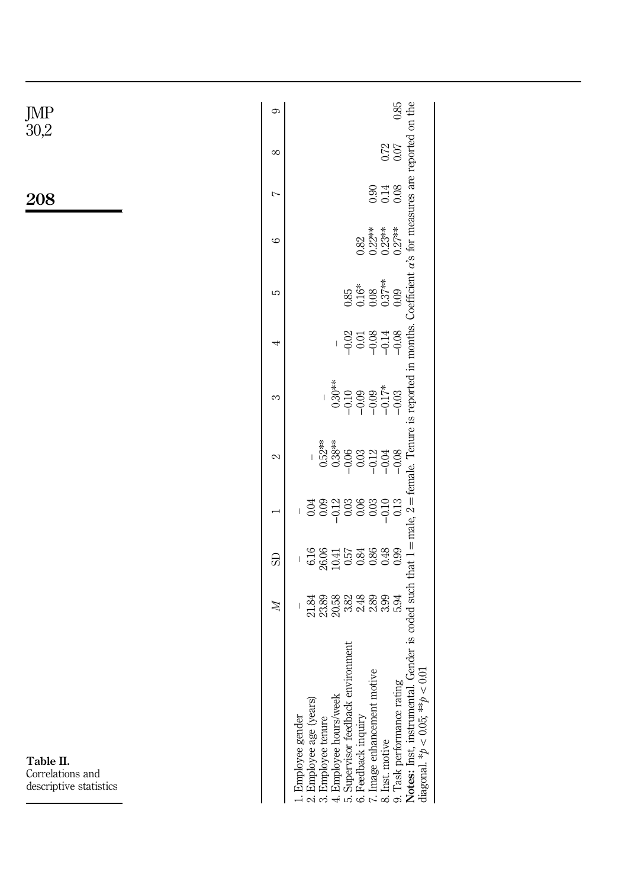| JMP  |  |
|------|--|
| 30,2 |  |
|      |  |

208

Table II. Correlations and descriptive statistics

|                                                                                                                                                                                                                                                                                                                    |          | SD |                      | $\mathbf{\Omega}$                                                                                                                                                                                                                                                                                                                | $\infty$                                  | 4 | ءِ                                        | <u>ت</u>                                   |                          | ∝                 |  |
|--------------------------------------------------------------------------------------------------------------------------------------------------------------------------------------------------------------------------------------------------------------------------------------------------------------------|----------|----|----------------------|----------------------------------------------------------------------------------------------------------------------------------------------------------------------------------------------------------------------------------------------------------------------------------------------------------------------------------|-------------------------------------------|---|-------------------------------------------|--------------------------------------------|--------------------------|-------------------|--|
| 2. Employee age (years)<br>3. Employee tenure<br>4. Employee hours/week<br>5. Supervisor feedback environm<br>7. Image enhancement motive<br>Notes: Inst, instrumental. Ger<br>liagonal. * $p < 0.05$ ; ** $p < 0.01$<br>9. Task performance rating<br>6. Feedback inquiry<br>. Employee gender<br>8. Inst. motive | ded such |    | $\text{male}, 2 = f$ | male. Tenure<br>$\begin{array}{r} * \\ 0.58 \\ 0.38 \\ 0.38 \\ 0.39 \\ 0.39 \\ 0.39 \\ 0.39 \\ 0.30 \\ 0.33 \\ 0.33 \\ 0.33 \\ 0.33 \\ 0.33 \\ 0.33 \\ 0.33 \\ 0.33 \\ 0.33 \\ 0.33 \\ 0.33 \\ 0.33 \\ 0.33 \\ 0.33 \\ 0.33 \\ 0.33 \\ 0.33 \\ 0.33 \\ 0.33 \\ 0.33 \\ 0.33 \\ 0.33 \\ 0.33 \\ 0.33 \\ 0.33 \\ 0.33 \\ 0.33 \\ $ | **<br>  8690817<br>  0009077<br>  0000000 |   | fficient<br>0.85<br>0.16*<br>0.08<br>0.09 | $0.82$<br>$0.22**$<br>$0.23**$<br>$0.27**$ | ures are<br>8.718<br>0.0 | $\frac{672}{607}$ |  |
|                                                                                                                                                                                                                                                                                                                    |          |    |                      |                                                                                                                                                                                                                                                                                                                                  |                                           |   |                                           |                                            |                          |                   |  |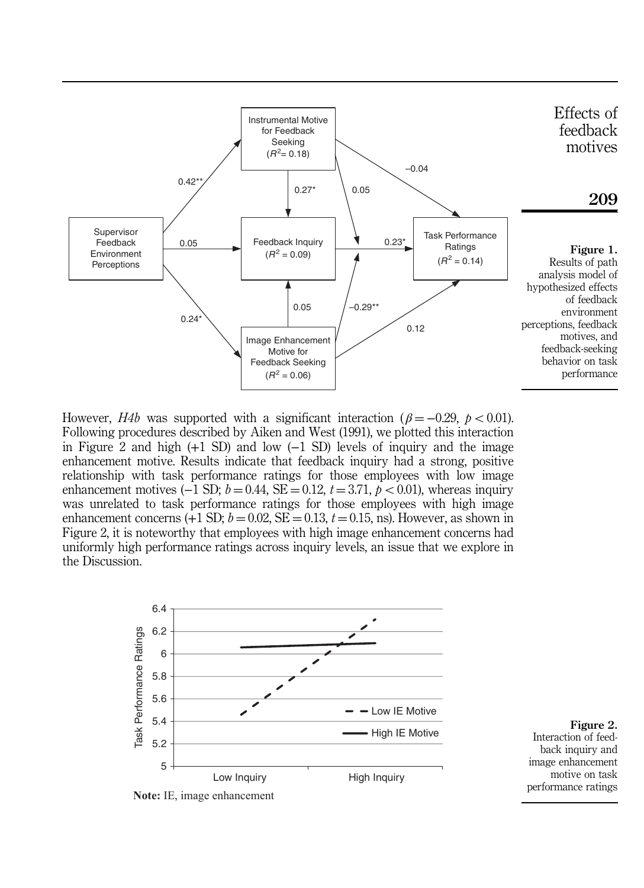

However, H4b was supported with a significant interaction ( $\beta = -0.29$ ,  $p < 0.01$ ). Following procedures described by Aiken and West (1991), we plotted this interaction in Figure 2 and high (+1 SD) and low (−1 SD) levels of inquiry and the image enhancement motive. Results indicate that feedback inquiry had a strong, positive relationship with task performance ratings for those employees with low image enhancement motives  $(-1 \text{ SD}; b = 0.44, \text{ SE} = 0.12, t = 3.71, b < 0.01)$ , whereas inquiry was unrelated to task performance ratings for those employees with high image enhancement concerns  $(+1 \text{ SD}; b = 0.02, \text{SE} = 0.13, t = 0.15, \text{ns})$ . However, as shown in Figure 2, it is noteworthy that employees with high image enhancement concerns had uniformly high performance ratings across inquiry levels, an issue that we explore in the Discussion.



Interaction of feedback inquiry and image enhancement motive on task performance ratings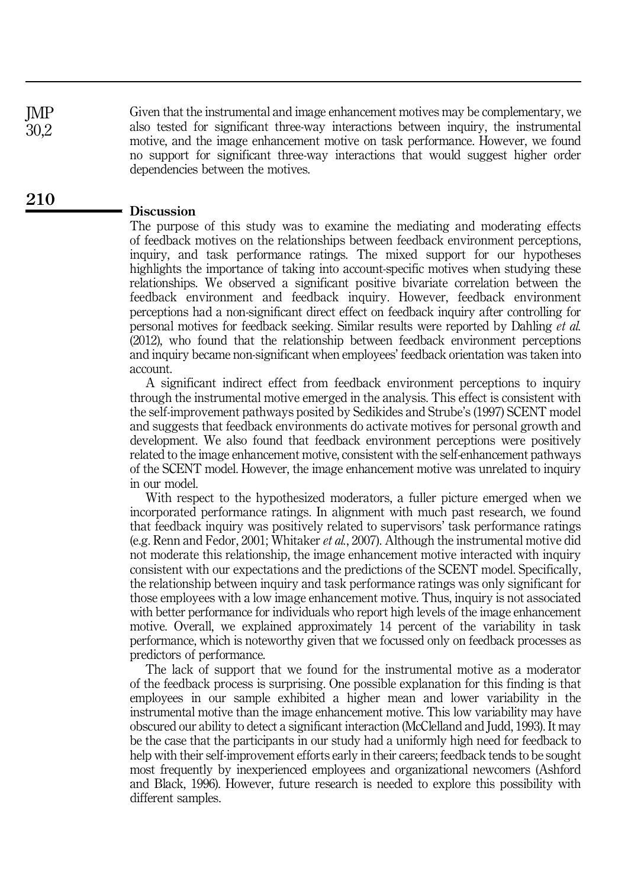Given that the instrumental and image enhancement motives may be complementary, we also tested for significant three-way interactions between inquiry, the instrumental motive, and the image enhancement motive on task performance. However, we found no support for significant three-way interactions that would suggest higher order dependencies between the motives. JMP 30,2

#### **Discussion**

210

The purpose of this study was to examine the mediating and moderating effects of feedback motives on the relationships between feedback environment perceptions, inquiry, and task performance ratings. The mixed support for our hypotheses highlights the importance of taking into account-specific motives when studying these relationships. We observed a significant positive bivariate correlation between the feedback environment and feedback inquiry. However, feedback environment perceptions had a non-significant direct effect on feedback inquiry after controlling for personal motives for feedback seeking. Similar results were reported by Dahling et al. (2012), who found that the relationship between feedback environment perceptions and inquiry became non-significant when employees' feedback orientation was taken into account.

A significant indirect effect from feedback environment perceptions to inquiry through the instrumental motive emerged in the analysis. This effect is consistent with the self-improvement pathways posited by Sedikides and Strube's (1997) SCENT model and suggests that feedback environments do activate motives for personal growth and development. We also found that feedback environment perceptions were positively related to the image enhancement motive, consistent with the self-enhancement pathways of the SCENT model. However, the image enhancement motive was unrelated to inquiry in our model.

With respect to the hypothesized moderators, a fuller picture emerged when we incorporated performance ratings. In alignment with much past research, we found that feedback inquiry was positively related to supervisors' task performance ratings (e.g. Renn and Fedor, 2001; Whitaker et al., 2007). Although the instrumental motive did not moderate this relationship, the image enhancement motive interacted with inquiry consistent with our expectations and the predictions of the SCENT model. Specifically, the relationship between inquiry and task performance ratings was only significant for those employees with a low image enhancement motive. Thus, inquiry is not associated with better performance for individuals who report high levels of the image enhancement motive. Overall, we explained approximately 14 percent of the variability in task performance, which is noteworthy given that we focussed only on feedback processes as predictors of performance.

The lack of support that we found for the instrumental motive as a moderator of the feedback process is surprising. One possible explanation for this finding is that employees in our sample exhibited a higher mean and lower variability in the instrumental motive than the image enhancement motive. This low variability may have obscured our ability to detect a significant interaction (McClelland and Judd, 1993). It may be the case that the participants in our study had a uniformly high need for feedback to help with their self-improvement efforts early in their careers; feedback tends to be sought most frequently by inexperienced employees and organizational newcomers (Ashford and Black, 1996). However, future research is needed to explore this possibility with different samples.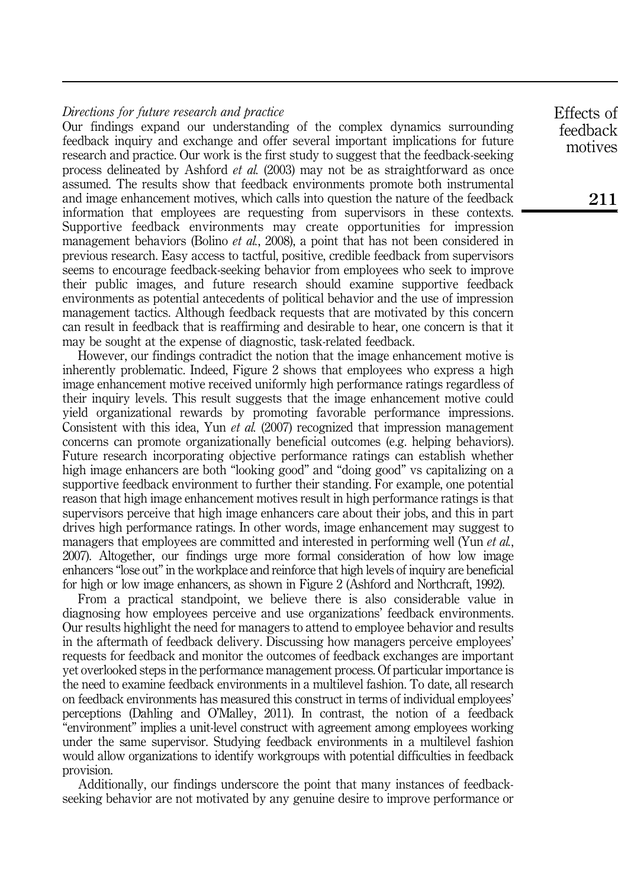# Directions for future research and practice

Our findings expand our understanding of the complex dynamics surrounding feedback inquiry and exchange and offer several important implications for future research and practice. Our work is the first study to suggest that the feedback-seeking process delineated by Ashford *et al.* (2003) may not be as straightforward as once assumed. The results show that feedback environments promote both instrumental and image enhancement motives, which calls into question the nature of the feedback information that employees are requesting from supervisors in these contexts. Supportive feedback environments may create opportunities for impression management behaviors (Bolino *et al.*, 2008), a point that has not been considered in previous research. Easy access to tactful, positive, credible feedback from supervisors seems to encourage feedback-seeking behavior from employees who seek to improve their public images, and future research should examine supportive feedback environments as potential antecedents of political behavior and the use of impression management tactics. Although feedback requests that are motivated by this concern can result in feedback that is reaffirming and desirable to hear, one concern is that it may be sought at the expense of diagnostic, task-related feedback.

However, our findings contradict the notion that the image enhancement motive is inherently problematic. Indeed, Figure 2 shows that employees who express a high image enhancement motive received uniformly high performance ratings regardless of their inquiry levels. This result suggests that the image enhancement motive could yield organizational rewards by promoting favorable performance impressions. Consistent with this idea, Yun et al. (2007) recognized that impression management concerns can promote organizationally beneficial outcomes (e.g. helping behaviors). Future research incorporating objective performance ratings can establish whether high image enhancers are both "looking good" and "doing good" vs capitalizing on a supportive feedback environment to further their standing. For example, one potential reason that high image enhancement motives result in high performance ratings is that supervisors perceive that high image enhancers care about their jobs, and this in part drives high performance ratings. In other words, image enhancement may suggest to managers that employees are committed and interested in performing well (Yun *et al.*, 2007). Altogether, our findings urge more formal consideration of how low image enhancers "lose out"in the workplace and reinforce that high levels of inquiry are beneficial for high or low image enhancers, as shown in Figure 2 (Ashford and Northcraft, 1992).

From a practical standpoint, we believe there is also considerable value in diagnosing how employees perceive and use organizations' feedback environments. Our results highlight the need for managers to attend to employee behavior and results in the aftermath of feedback delivery. Discussing how managers perceive employees' requests for feedback and monitor the outcomes of feedback exchanges are important yet overlooked steps in the performance management process. Of particular importance is the need to examine feedback environments in a multilevel fashion. To date, all research on feedback environments has measured this construct in terms of individual employees' perceptions (Dahling and O'Malley, 2011). In contrast, the notion of a feedback "environment" implies a unit-level construct with agreement among employees working under the same supervisor. Studying feedback environments in a multilevel fashion would allow organizations to identify workgroups with potential difficulties in feedback provision.

Additionally, our findings underscore the point that many instances of feedbackseeking behavior are not motivated by any genuine desire to improve performance or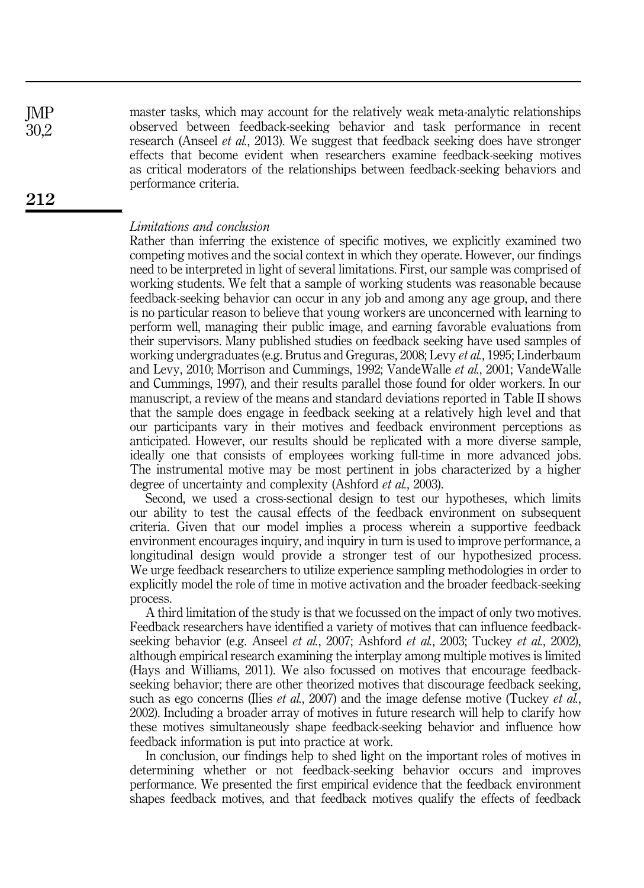master tasks, which may account for the relatively weak meta-analytic relationships observed between feedback-seeking behavior and task performance in recent research (Anseel *et al.*, 2013). We suggest that feedback seeking does have stronger effects that become evident when researchers examine feedback-seeking motives as critical moderators of the relationships between feedback-seeking behaviors and performance criteria.

## Limitations and conclusion

212

JMP 30,2

> Rather than inferring the existence of specific motives, we explicitly examined two competing motives and the social context in which they operate. However, our findings need to be interpreted in light of several limitations. First, our sample was comprised of working students. We felt that a sample of working students was reasonable because feedback-seeking behavior can occur in any job and among any age group, and there is no particular reason to believe that young workers are unconcerned with learning to perform well, managing their public image, and earning favorable evaluations from their supervisors. Many published studies on feedback seeking have used samples of working undergraduates (e.g. Brutus and Greguras, 2008; Levy et al., 1995; Linderbaum and Levy, 2010; Morrison and Cummings, 1992; VandeWalle et al., 2001; VandeWalle and Cummings, 1997), and their results parallel those found for older workers. In our manuscript, a review of the means and standard deviations reported in Table II shows that the sample does engage in feedback seeking at a relatively high level and that our participants vary in their motives and feedback environment perceptions as anticipated. However, our results should be replicated with a more diverse sample, ideally one that consists of employees working full-time in more advanced jobs. The instrumental motive may be most pertinent in jobs characterized by a higher degree of uncertainty and complexity (Ashford *et al.*, 2003).

> Second, we used a cross-sectional design to test our hypotheses, which limits our ability to test the causal effects of the feedback environment on subsequent criteria. Given that our model implies a process wherein a supportive feedback environment encourages inquiry, and inquiry in turn is used to improve performance, a longitudinal design would provide a stronger test of our hypothesized process. We urge feedback researchers to utilize experience sampling methodologies in order to explicitly model the role of time in motive activation and the broader feedback-seeking process.

> A third limitation of the study is that we focussed on the impact of only two motives. Feedback researchers have identified a variety of motives that can influence feedbackseeking behavior (e.g. Anseel et al., 2007; Ashford et al., 2003; Tuckey et al., 2002), although empirical research examining the interplay among multiple motives is limited (Hays and Williams, 2011). We also focussed on motives that encourage feedbackseeking behavior; there are other theorized motives that discourage feedback seeking, such as ego concerns (Ilies *et al.*, 2007) and the image defense motive (Tuckey *et al.*, 2002). Including a broader array of motives in future research will help to clarify how these motives simultaneously shape feedback-seeking behavior and influence how feedback information is put into practice at work.

> In conclusion, our findings help to shed light on the important roles of motives in determining whether or not feedback-seeking behavior occurs and improves performance. We presented the first empirical evidence that the feedback environment shapes feedback motives, and that feedback motives qualify the effects of feedback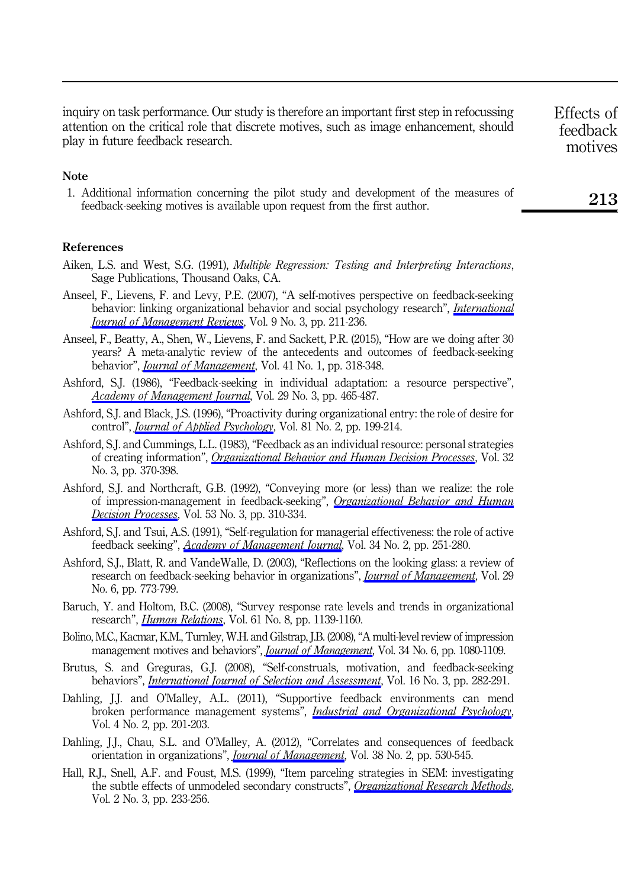inquiry on task performance. Our study is therefore an important first step in refocussing attention on the critical role that discrete motives, such as image enhancement, should play in future feedback research.

#### **Note**

1. Additional information concerning the pilot study and development of the measures of feedback-seeking motives is available upon request from the first author.

#### References

- Aiken, L.S. and West, S.G. (1991), Multiple Regression: Testing and Interpreting Interactions, Sage Publications, Thousand Oaks, CA.
- Anseel, F., Lievens, F. and Levy, P.E. (2007), "A self-motives perspective on feedback-seeking behavior: linking organizational behavior and social psychology research", *[International](http://www.emeraldinsight.com/action/showLinks?crossref=10.1111%2Fj.1468-2370.2007.00210.x&isi=000248998900003)* [Journal of Management Reviews](http://www.emeraldinsight.com/action/showLinks?crossref=10.1111%2Fj.1468-2370.2007.00210.x&isi=000248998900003), Vol. 9 No. 3, pp. 211-236.
- Anseel, F., Beatty, A., Shen, W., Lievens, F. and Sackett, P.R. (2015), "How are we doing after 30 years? A meta-analytic review of the antecedents and outcomes of feedback-seeking behavior", *[Journal of Management](http://www.emeraldinsight.com/action/showLinks?crossref=10.1177%2F0149206313484521&isi=000346268400012)*, Vol. 41 No. 1, pp. 318-348.
- Ashford, S.J. (1986), "Feedback-seeking in individual adaptation: a resource perspective", [Academy of Management Journal](http://www.emeraldinsight.com/action/showLinks?crossref=10.2307%2F256219&isi=A1986D744200002), Vol. 29 No. 3, pp. 465-487.
- Ashford, S.J. and Black, J.S. (1996), "Proactivity during organizational entry: the role of desire for control", *[Journal of Applied Psychology](http://www.emeraldinsight.com/action/showLinks?crossref=10.1037%2F0021-9010.81.2.199&isi=A1996UF81900009)*, Vol. 81 No. 2, pp. 199-214.
- Ashford, S.J. and Cummings, L.L. (1983), "Feedback as an individual resource: personal strategies of creating information", *[Organizational Behavior and Human Decision Processes](http://www.emeraldinsight.com/action/showLinks?crossref=10.1016%2F0030-5073%2883%2990156-3&isi=A1983RT05000004)*, Vol. 32 No. 3, pp. 370-398.
- Ashford, S.J. and Northcraft, G.B. (1992), "Conveying more (or less) than we realize: the role of impression-management in feedback-seeking", [Organizational Behavior and Human](http://www.emeraldinsight.com/action/showLinks?crossref=10.1016%2F0749-5978%2892%2990068-I&isi=A1992KC91100002) [Decision Processes](http://www.emeraldinsight.com/action/showLinks?crossref=10.1016%2F0749-5978%2892%2990068-I&isi=A1992KC91100002), Vol. 53 No. 3, pp. 310-334.
- Ashford, S.J. and Tsui, A.S. (1991), "Self-regulation for managerial effectiveness: the role of active feedback seeking", [Academy of Management Journal](http://www.emeraldinsight.com/action/showLinks?crossref=10.2307%2F256442&isi=A1991FL87500001), Vol. 34 No. 2, pp. 251-280.
- Ashford, S.J., Blatt, R. and VandeWalle, D. (2003), "Reflections on the looking glass: a review of research on feedback-seeking behavior in organizations", *[Journal of Management](http://www.emeraldinsight.com/action/showLinks?crossref=10.1016%2FS0149-2063%2803%2900079-5&isi=000220184800002)*, Vol. 29 No. 6, pp. 773-799.
- Baruch, Y. and Holtom, B.C. (2008), "Survey response rate levels and trends in organizational research", *[Human Relations](http://www.emeraldinsight.com/action/showLinks?crossref=10.1177%2F0018726708094863&isi=000258709600005)*, Vol. 61 No. 8, pp. 1139-1160.
- Bolino, M.C., Kacmar, K.M., Turnley, W.H. and Gilstrap, J.B. (2008), "A multi-level review of impression management motives and behaviors", *[Journal of Management](http://www.emeraldinsight.com/action/showLinks?crossref=10.1177%2F0149206308324325&isi=000261095200002)*, Vol. 34 No. 6, pp. 1080-1109.
- Brutus, S. and Greguras, G.J. (2008), "Self-construals, motivation, and feedback-seeking behaviors", *[International Journal of Selection and Assessment](http://www.emeraldinsight.com/action/showLinks?crossref=10.1111%2Fj.1468-2389.2008.00434.x&isi=000258597900012)*, Vol. 16 No. 3, pp. 282-291.
- Dahling, J.J. and O'Malley, A.L. (2011), "Supportive feedback environments can mend broken performance management systems", *[Industrial and Organizational Psychology](http://www.emeraldinsight.com/action/showLinks?crossref=10.1111%2Fj.1754-9434.2011.01327.x)*, Vol. 4 No. 2, pp. 201-203.
- Dahling, J.J., Chau, S.L. and O'Malley, A. (2012), "Correlates and consequences of feedback orientation in organizations", [Journal of Management](http://www.emeraldinsight.com/action/showLinks?crossref=10.1177%2F0149206310375467), Vol. 38 No. 2, pp. 530-545.
- Hall, R.J., Snell, A.F. and Foust, M.S. (1999), "Item parceling strategies in SEM: investigating the subtle effects of unmodeled secondary constructs", [Organizational Research Methods](http://www.emeraldinsight.com/action/showLinks?crossref=10.1177%2F109442819923002), Vol. 2 No. 3, pp. 233-256.

feedback motives

Effects of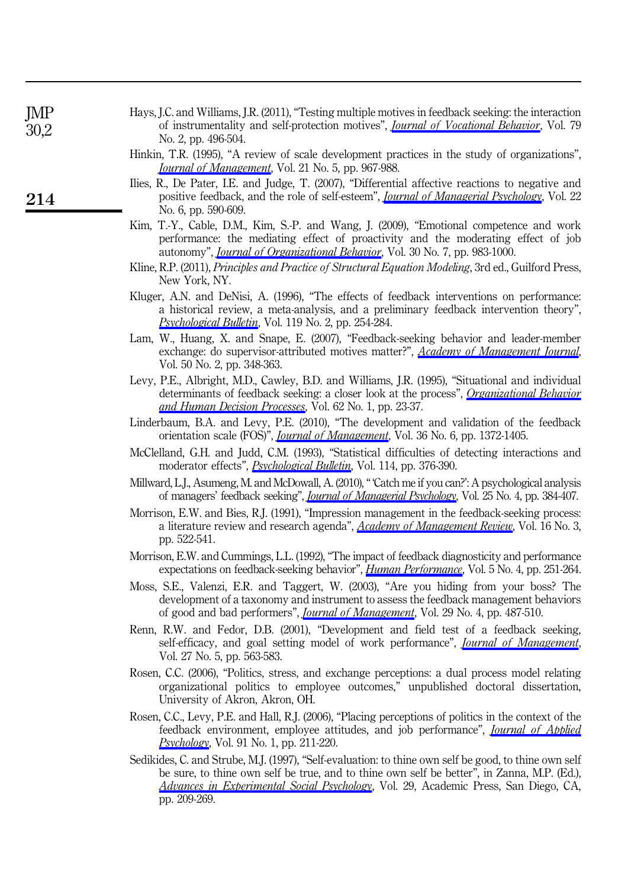| JMP  | Hays, J.C. and Williams, J.R. (2011), "Testing multiple motives in feedback seeking: the interaction                    |
|------|-------------------------------------------------------------------------------------------------------------------------|
| 30,2 | of instrumentality and self-protection motives", <i>Journal of Vocational Behavior</i> , Vol. 79<br>No. 2, pp. 496-504. |
|      |                                                                                                                         |

214

- Hinkin, T.R. (1995), "A review of scale development practices in the study of organizations", [Journal of Management](http://www.emeraldinsight.com/action/showLinks?crossref=10.1177%2F014920639502100509&isi=A1995TD66900009), Vol. 21 No. 5, pp. 967-988.
- Ilies, R., De Pater, I.E. and Judge, T. (2007), "Differential affective reactions to negative and positive feedback, and the role of self-esteem", *[Journal of Managerial Psychology](http://www.emeraldinsight.com/action/showLinks?system=10.1108%2F02683940710778459)*, Vol. 22 No. 6, pp. 590-609.
- Kim, T.-Y., Cable, D.M., Kim, S.-P. and Wang, J. (2009), "Emotional competence and work performance: the mediating effect of proactivity and the moderating effect of job autonomy", *[Journal of Organizational Behavior](http://www.emeraldinsight.com/action/showLinks?crossref=10.1002%2Fjob.610&isi=000270173700007)*, Vol. 30 No. 7, pp. 983-1000.
- Kline, R.P. (2011), *Principles and Practice of Structural Equation Modeling*, 3rd ed., Guilford Press, New York, NY.
- Kluger, A.N. and DeNisi, A. (1996), "The effects of feedback interventions on performance: a historical review, a meta-analysis, and a preliminary feedback intervention theory", [Psychological Bulletin](http://www.emeraldinsight.com/action/showLinks?crossref=10.1037%2F0033-2909.119.2.254&isi=A1996TZ19600003), Vol. 119 No. 2, pp. 254-284.
- Lam, W., Huang, X. and Snape, E. (2007), "Feedback-seeking behavior and leader-member exchange: do supervisor-attributed motives matter?", [Academy of Management Journal](http://www.emeraldinsight.com/action/showLinks?crossref=10.5465%2FAMJ.2007.24634440&isi=000246059200006), Vol. 50 No. 2, pp. 348-363.
- Levy, P.E., Albright, M.D., Cawley, B.D. and Williams, J.R. (1995), "Situational and individual determinants of feedback seeking: a closer look at the process", [Organizational Behavior](http://www.emeraldinsight.com/action/showLinks?crossref=10.1006%2Fobhd.1995.1028&isi=A1995QR87500003) [and Human Decision Processes](http://www.emeraldinsight.com/action/showLinks?crossref=10.1006%2Fobhd.1995.1028&isi=A1995QR87500003), Vol. 62 No. 1, pp. 23-37.
- Linderbaum, B.A. and Levy, P.E. (2010), "The development and validation of the feedback orientation scale (FOS)", [Journal of Management](http://www.emeraldinsight.com/action/showLinks?crossref=10.1177%2F0149206310373145&isi=000282521000002), Vol. 36 No. 6, pp. 1372-1405.
- McClelland, G.H. and Judd, C.M. (1993), "Statistical difficulties of detecting interactions and moderator effects", [Psychological Bulletin](http://www.emeraldinsight.com/action/showLinks?crossref=10.1037%2F0033-2909.114.2.376&isi=A1993LX35200010), Vol. 114, pp. 376-390.
- Millward, L.J., Asumeng, M. and McDowall, A. (2010)," 'Catch me if you can?': A psychological analysis of managers' feedback seeking", [Journal of Managerial Psychology](http://www.emeraldinsight.com/action/showLinks?system=10.1108%2F02683941011035296&isi=000278408000009), Vol. 25 No. 4, pp. 384-407.
- Morrison, E.W. and Bies, R.J. (1991), "Impression management in the feedback-seeking process: a literature review and research agenda", [Academy of Management Review](http://www.emeraldinsight.com/action/showLinks?isi=A1991FW25700002), Vol. 16 No. 3, pp. 522-541.
- Morrison, E.W. and Cummings, L.L. (1992), "The impact of feedback diagnosticity and performance expectations on feedback-seeking behavior", *[Human Performance](http://www.emeraldinsight.com/action/showLinks?crossref=10.1207%2Fs15327043hup0504_1)*, Vol. 5 No. 4, pp. 251-264.
- Moss, S.E., Valenzi, E.R. and Taggert, W. (2003), "Are you hiding from your boss? The development of a taxonomy and instrument to assess the feedback management behaviors of good and bad performers", [Journal of Management](http://www.emeraldinsight.com/action/showLinks?crossref=10.1016%2FS0149-2063%2803%2900022-9&isi=000184234200002), Vol. 29 No. 4, pp. 487-510.
- Renn, R.W. and Fedor, D.B. (2001), "Development and field test of a feedback seeking, self-efficacy, and goal setting model of work performance", *[Journal of Management](http://www.emeraldinsight.com/action/showLinks?crossref=10.1177%2F014920630102700504&isi=000171612500003)*, Vol. 27 No. 5, pp. 563-583.
- Rosen, C.C. (2006), "Politics, stress, and exchange perceptions: a dual process model relating organizational politics to employee outcomes," unpublished doctoral dissertation, University of Akron, Akron, OH.
- Rosen, C.C., Levy, P.E. and Hall, R.J. (2006), "Placing perceptions of politics in the context of the feedback environment, employee attitudes, and job performance", *[Journal of Applied](http://www.emeraldinsight.com/action/showLinks?crossref=10.1037%2F0021-9010.91.1.211&isi=000235021300019)* [Psychology](http://www.emeraldinsight.com/action/showLinks?crossref=10.1037%2F0021-9010.91.1.211&isi=000235021300019), Vol. 91 No. 1, pp. 211-220.
- Sedikides, C. and Strube, M.J. (1997), "Self-evaluation: to thine own self be good, to thine own self be sure, to thine own self be true, and to thine own self be better", in Zanna, M.P. (Ed.), [Advances in Experimental Social Psychology](http://www.emeraldinsight.com/action/showLinks?crossref=10.1016%2FS0065-2601%2808%2960018-0), Vol. 29, Academic Press, San Diego, CA, pp. 209-269.